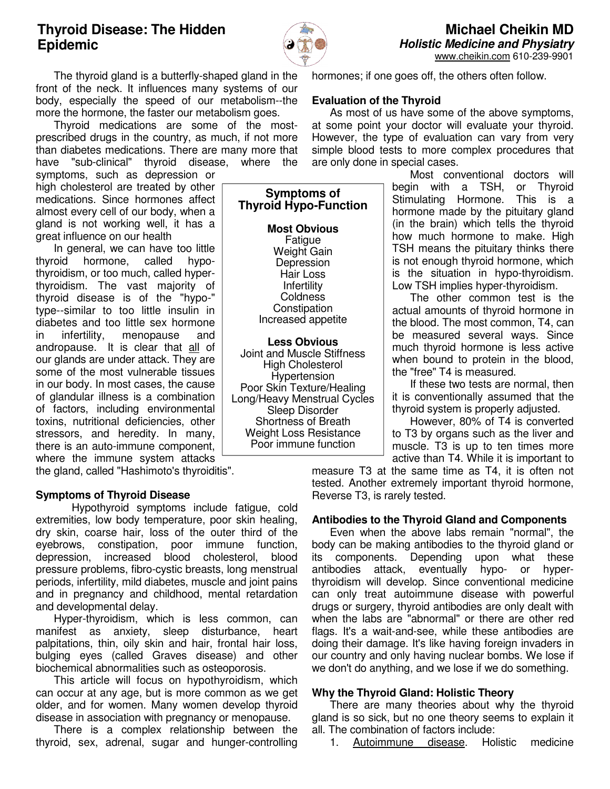# **Thyroid Disease: The Hidden Epidemic**



 The thyroid gland is a butterfly-shaped gland in the front of the neck. It influences many systems of our body, especially the speed of our metabolism--the more the hormone, the faster our metabolism goes.

 Thyroid medications are some of the mostprescribed drugs in the country, as much, if not more than diabetes medications. There are many more that have "sub-clinical" thyroid disease, where the

symptoms, such as depression or high cholesterol are treated by other medications. Since hormones affect almost every cell of our body, when a gland is not working well, it has a great influence on our health

 In general, we can have too little thyroid hormone, called hypothyroidism, or too much, called hyperthyroidism. The vast majority of thyroid disease is of the "hypo-" type--similar to too little insulin in diabetes and too little sex hormone in infertility, menopause and andropause. It is clear that all of our glands are under attack. They are some of the most vulnerable tissues in our body. In most cases, the cause of glandular illness is a combination of factors, including environmental toxins, nutritional deficiencies, other stressors, and heredity. In many, there is an auto-immune component, where the immune system attacks

the gland, called "Hashimoto's thyroiditis".

### **Symptoms of Thyroid Disease**

 Hypothyroid symptoms include fatigue, cold extremities, low body temperature, poor skin healing, dry skin, coarse hair, loss of the outer third of the eyebrows, constipation, poor immune function, depression, increased blood cholesterol, blood pressure problems, fibro-cystic breasts, long menstrual periods, infertility, mild diabetes, muscle and joint pains and in pregnancy and childhood, mental retardation and developmental delay.

 Hyper-thyroidism, which is less common, can manifest as anxiety, sleep disturbance, heart palpitations, thin, oily skin and hair, frontal hair loss, bulging eyes (called Graves disease) and other biochemical abnormalities such as osteoporosis.

 This article will focus on hypothyroidism, which can occur at any age, but is more common as we get older, and for women. Many women develop thyroid disease in association with pregnancy or menopause.

 There is a complex relationship between the thyroid, sex, adrenal, sugar and hunger-controlling

**Symptoms of Thyroid Hypo-Function** 

> **Most Obvious**  Fatigue Weight Gain Depression Hair Loss Infertility **Coldness Constipation** Increased appetite

**Less Obvious**  Joint and Muscle Stiffness High Cholesterol Hypertension Poor Skin Texture/Healing Long/Heavy Menstrual Cycles Sleep Disorder Shortness of Breath Weight Loss Resistance Poor immune function

hormones; if one goes off, the others often follow.

## **Evaluation of the Thyroid**

 As most of us have some of the above symptoms, at some point your doctor will evaluate your thyroid. However, the type of evaluation can vary from very simple blood tests to more complex procedures that are only done in special cases.

 Most conventional doctors will begin with a TSH, or Thyroid Stimulating Hormone. This is a hormone made by the pituitary gland (in the brain) which tells the thyroid how much hormone to make. High TSH means the pituitary thinks there is not enough thyroid hormone, which is the situation in hypo-thyroidism. Low TSH implies hyper-thyroidism.

 The other common test is the actual amounts of thyroid hormone in the blood. The most common, T4, can be measured several ways. Since much thyroid hormone is less active when bound to protein in the blood, the "free" T4 is measured.

 If these two tests are normal, then it is conventionally assumed that the thyroid system is properly adjusted.

 However, 80% of T4 is converted to T3 by organs such as the liver and muscle. T3 is up to ten times more active than T4. While it is important to

measure T3 at the same time as T4, it is often not tested. Another extremely important thyroid hormone, Reverse T3, is rarely tested.

### **Antibodies to the Thyroid Gland and Components**

 Even when the above labs remain "normal", the body can be making antibodies to the thyroid gland or its components. Depending upon what these<br>antibodies attack, eventually hypo- or hyperantibodies attack, eventually hypo- or hyperthyroidism will develop. Since conventional medicine can only treat autoimmune disease with powerful drugs or surgery, thyroid antibodies are only dealt with when the labs are "abnormal" or there are other red flags. It's a wait-and-see, while these antibodies are doing their damage. It's like having foreign invaders in our country and only having nuclear bombs. We lose if we don't do anything, and we lose if we do something.

### **Why the Thyroid Gland: Holistic Theory**

 There are many theories about why the thyroid gland is so sick, but no one theory seems to explain it all. The combination of factors include:

1. Autoimmune disease. Holistic medicine